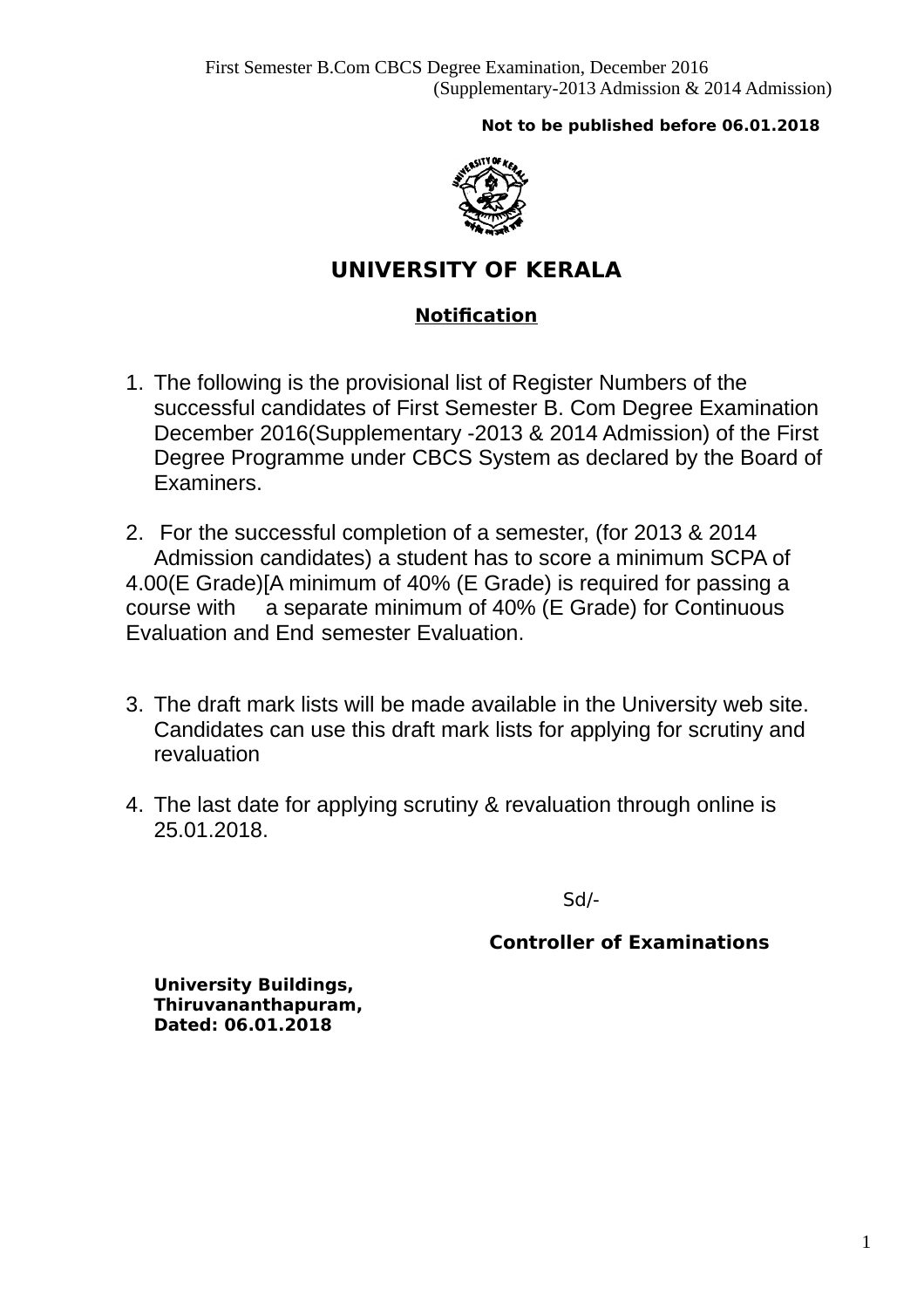# **Not to be published before 06.01.2018**



# **UNIVERSITY OF KERALA**

# **Notification**

- 1. The following is the provisional list of Register Numbers of the successful candidates of First Semester B. Com Degree Examination December 2016(Supplementary -2013 & 2014 Admission) of the First Degree Programme under CBCS System as declared by the Board of Examiners.
- 2. For the successful completion of a semester, (for 2013 & 2014 Admission candidates) a student has to score a minimum SCPA of 4.00(E Grade)[A minimum of 40% (E Grade) is required for passing a course with a separate minimum of 40% (E Grade) for Continuous Evaluation and End semester Evaluation.
- 3. The draft mark lists will be made available in the University web site. Candidates can use this draft mark lists for applying for scrutiny and revaluation
- 4. The last date for applying scrutiny & revaluation through online is 25.01.2018.

Sd/-

# **Controller of Examinations**

**University Buildings, Thiruvananthapuram, Dated: 06.01.2018**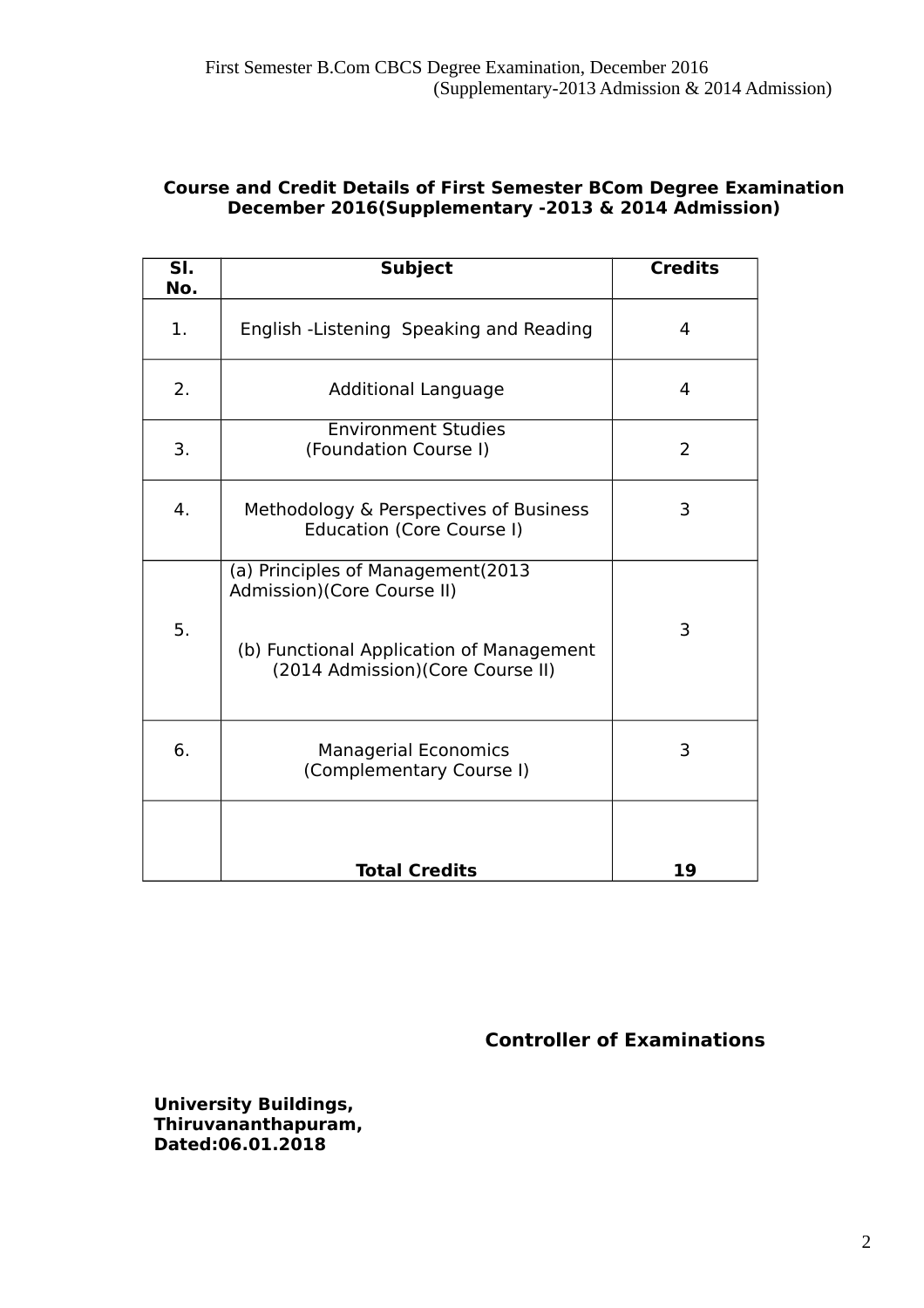# **Course and Credit Details of First Semester BCom Degree Examination December 2016(Supplementary -2013 & 2014 Admission)**

| $\overline{\mathsf{SI.}}$<br>No. | <b>Subject</b>                                                                                                                                   | <b>Credits</b> |
|----------------------------------|--------------------------------------------------------------------------------------------------------------------------------------------------|----------------|
| 1.                               | English -Listening Speaking and Reading                                                                                                          | 4              |
| 2.                               | <b>Additional Language</b>                                                                                                                       | 4              |
| 3.                               | <b>Environment Studies</b><br>(Foundation Course I)                                                                                              | 2              |
| 4.                               | Methodology & Perspectives of Business<br>Education (Core Course I)                                                                              | 3              |
| 5.                               | (a) Principles of Management(2013<br>Admission)(Core Course II)<br>(b) Functional Application of Management<br>(2014 Admission) (Core Course II) | 3              |
| 6.                               | <b>Managerial Economics</b><br>(Complementary Course I)                                                                                          | 3              |
|                                  | <b>Total Credits</b>                                                                                                                             | 19             |

 **Controller of Examinations** 

**University Buildings, Thiruvananthapuram, Dated:06.01.2018**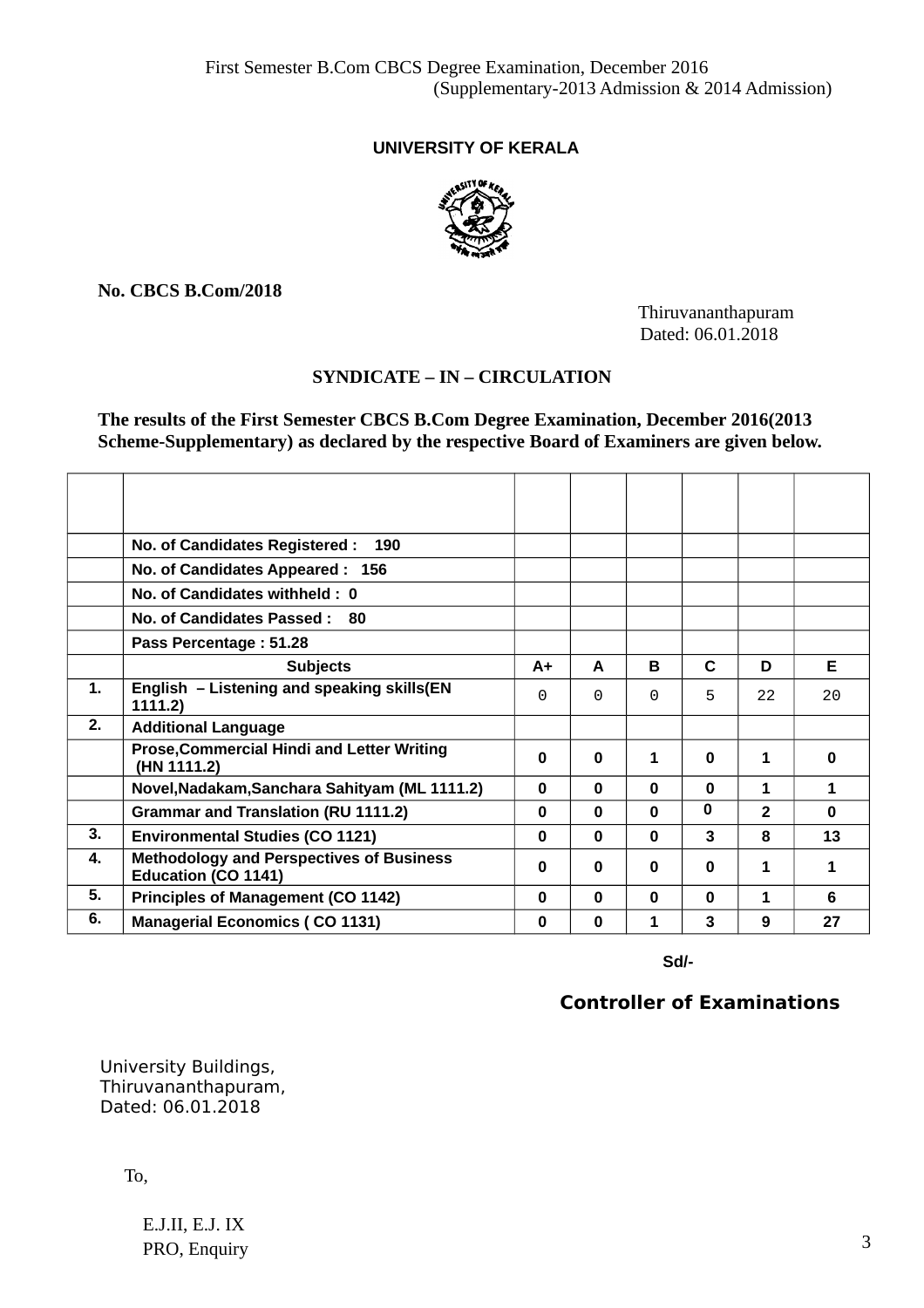# **UNIVERSITY OF KERALA**



**No. CBCS B.Com/2018**

 Thiruvananthapuram Dated: 06.01.2018

# **SYNDICATE – IN – CIRCULATION**

**The results of the First Semester CBCS B.Com Degree Examination, December 2016(2013 Scheme-Supplementary) as declared by the respective Board of Examiners are given below.**

|    | No. of Candidates Registered :<br>190                                         |          |          |              |              |                |          |
|----|-------------------------------------------------------------------------------|----------|----------|--------------|--------------|----------------|----------|
|    | No. of Candidates Appeared : 156                                              |          |          |              |              |                |          |
|    | No. of Candidates withheld: 0                                                 |          |          |              |              |                |          |
|    | No. of Candidates Passed: 80                                                  |          |          |              |              |                |          |
|    | Pass Percentage: 51.28                                                        |          |          |              |              |                |          |
|    | <b>Subjects</b>                                                               | $A+$     | A        | <sub>B</sub> | $\mathbf C$  | D              | F.       |
| 1. | English - Listening and speaking skills(EN<br>1111.2)                         | 0        | $\Theta$ | 0            | 5            | 22             | 20       |
| 2. | <b>Additional Language</b>                                                    |          |          |              |              |                |          |
|    | <b>Prose, Commercial Hindi and Letter Writing</b><br>(HN 1111.2)              | 0        | $\bf{0}$ | $\mathbf{1}$ | $\Omega$     | 1              | 0        |
|    | Novel, Nadakam, Sanchara Sahityam (ML 1111.2)                                 | $\bf{0}$ | $\bf{0}$ | $\Omega$     | $\mathbf{0}$ | 1              | 1        |
|    | <b>Grammar and Translation (RU 1111.2)</b>                                    | $\bf{0}$ | $\bf{0}$ | 0            | $\bf{0}$     | $\overline{2}$ | $\Omega$ |
| 3. | <b>Environmental Studies (CO 1121)</b>                                        | $\bf{0}$ | $\bf{0}$ | $\Omega$     | 3            | 8              | 13       |
| 4. | <b>Methodology and Perspectives of Business</b><br><b>Education (CO 1141)</b> | $\bf{0}$ | $\bf{0}$ | $\bf{0}$     | $\Omega$     | 1              | 1        |
| 5. | <b>Principles of Management (CO 1142)</b>                                     | $\bf{0}$ | $\Omega$ | $\Omega$     | $\Omega$     | 1              | 6        |
| 6. | <b>Managerial Economics (CO 1131)</b>                                         | 0        | $\bf{0}$ | 1            | 3            | 9              | 27       |

 **Sd/-**

# **Controller of Examinations**

 University Buildings, Thiruvananthapuram, Dated: 06.01.2018

To,

E.J.II, E.J. IX PRO, Enquiry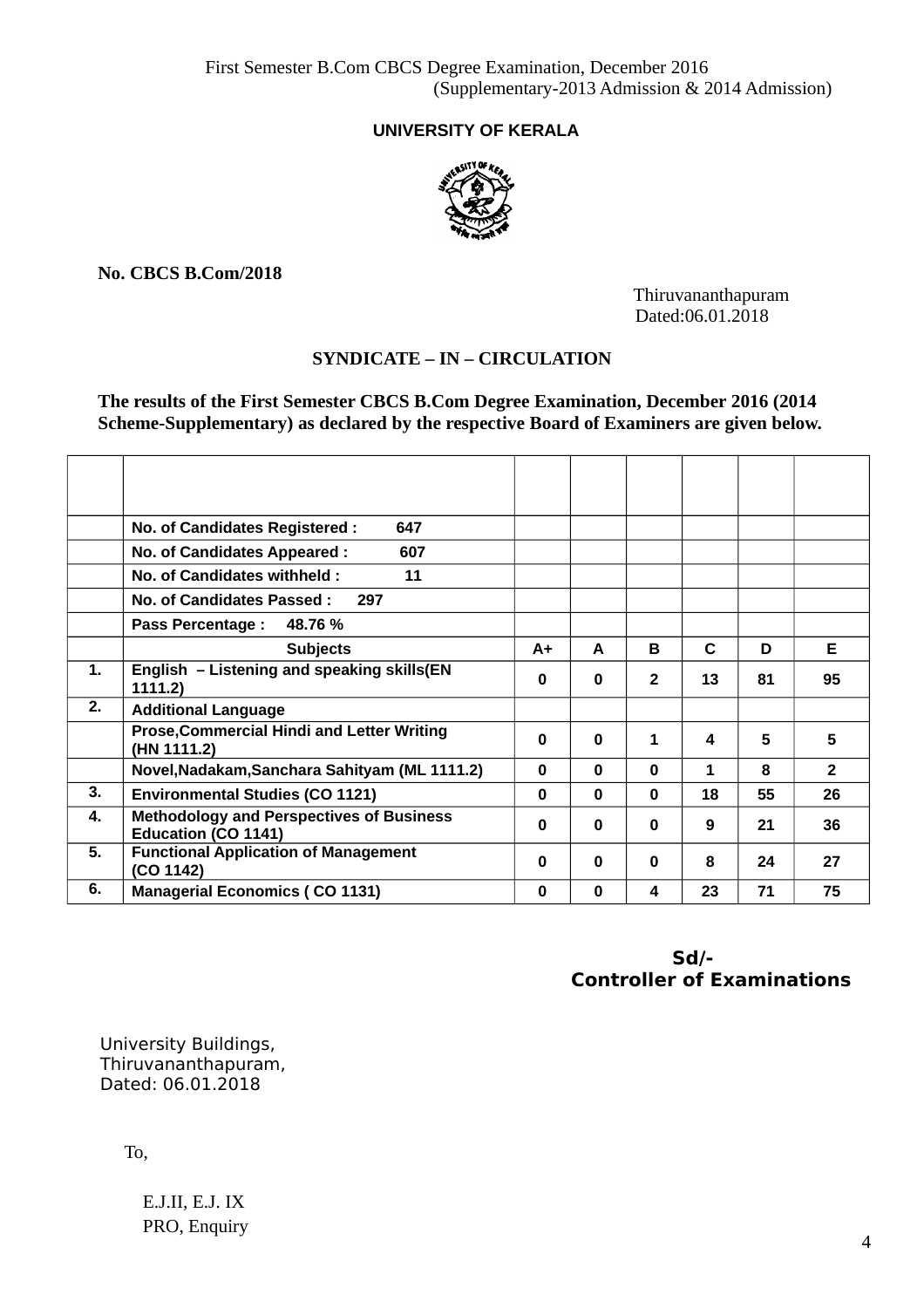# **UNIVERSITY OF KERALA**



**No. CBCS B.Com/2018**

 Thiruvananthapuram Dated:06.01.2018

# **SYNDICATE – IN – CIRCULATION**

**The results of the First Semester CBCS B.Com Degree Examination, December 2016 (2014 Scheme-Supplementary) as declared by the respective Board of Examiners are given below.**

|    | 647<br>No. of Candidates Registered :                                         |          |          |                |             |    |                |
|----|-------------------------------------------------------------------------------|----------|----------|----------------|-------------|----|----------------|
|    | 607<br>No. of Candidates Appeared :                                           |          |          |                |             |    |                |
|    | No. of Candidates withheld:<br>11                                             |          |          |                |             |    |                |
|    | <b>No. of Candidates Passed:</b><br>297                                       |          |          |                |             |    |                |
|    | 48.76 %<br><b>Pass Percentage:</b>                                            |          |          |                |             |    |                |
|    | <b>Subjects</b>                                                               | $A+$     | A        | B              | $\mathbf C$ | D  | F              |
| 1. | English - Listening and speaking skills(EN<br>1111.2)                         | 0        | $\bf{0}$ | $\overline{2}$ | 13          | 81 | 95             |
| 2. | <b>Additional Language</b>                                                    |          |          |                |             |    |                |
|    | <b>Prose, Commercial Hindi and Letter Writing</b><br>(HN 1111.2)              | 0        | $\bf{0}$ | 1              | 4           | 5  | 5              |
|    | Novel, Nadakam, Sanchara Sahityam (ML 1111.2)                                 | $\bf{0}$ | $\bf{0}$ | $\bf{0}$       | 1           | 8  | $\overline{2}$ |
| 3. | <b>Environmental Studies (CO 1121)</b>                                        | 0        | $\bf{0}$ | $\bf{0}$       | 18          | 55 | 26             |
| 4. | <b>Methodology and Perspectives of Business</b><br><b>Education (CO 1141)</b> | 0        | $\bf{0}$ | $\bf{0}$       | 9           | 21 | 36             |
| 5. | <b>Functional Application of Management</b><br>(CO 1142)                      | 0        | $\bf{0}$ | $\bf{0}$       | 8           | 24 | 27             |
| 6. | <b>Managerial Economics (CO 1131)</b>                                         | 0        | $\bf{0}$ | 4              | 23          | 71 | 75             |

 **Sd/- Controller of Examinations**

 University Buildings, Thiruvananthapuram, Dated: 06.01.2018

To,

E.J.II, E.J. IX PRO, Enquiry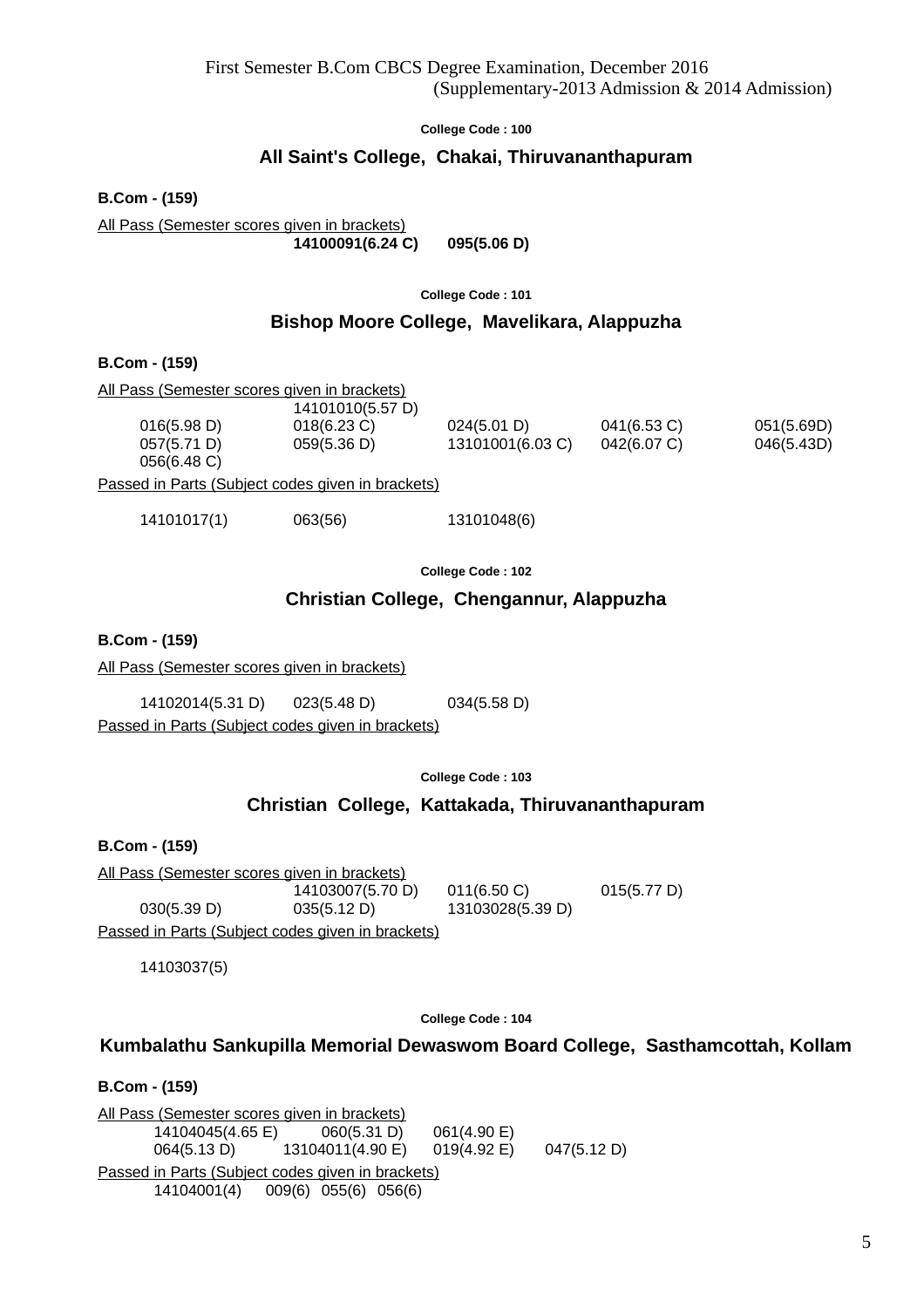# **All Saint's College, Chakai, Thiruvananthapuram**

**B.Com - (159)**

All Pass (Semester scores given in brackets) **14100091(6.24 C) 095(5.06 D)**

**College Code : 101**

# **Bishop Moore College, Mavelikara, Alappuzha**

**B.Com - (159)**

| All Pass (Semester scores given in brackets) |                  |                  |                |            |  |  |  |
|----------------------------------------------|------------------|------------------|----------------|------------|--|--|--|
|                                              | 14101010(5.57 D) |                  |                |            |  |  |  |
| 016(5.98 D)                                  | $018(6.23)$ C)   | 024(5.01 D)      | $041(6.53)$ C) | 051(5.69D) |  |  |  |
| 057(5.71 D)                                  | 059(5.36 D)      | 13101001(6.03 C) | 042(6.07 C)    | 046(5.43D) |  |  |  |
| 056(6.48 C)                                  |                  |                  |                |            |  |  |  |

Passed in Parts (Subject codes given in brackets)

14101017(1) 063(56) 13101048(6)

**College Code : 102**

# **Christian College, Chengannur, Alappuzha**

**B.Com - (159)**

All Pass (Semester scores given in brackets)

14102014(5.31 D) 023(5.48 D) 034(5.58 D)

Passed in Parts (Subject codes given in brackets)

**College Code : 103**

# **Christian College, Kattakada, Thiruvananthapuram**

**B.Com - (159)**

All Pass (Semester scores given in brackets) 14103007(5.70 D) 011(6.50 C) 015(5.77 D) 030(5.39 D) 035(5.12 D) 13103028(5.39 D) Passed in Parts (Subject codes given in brackets)

14103037(5)

**College Code : 104**

# **Kumbalathu Sankupilla Memorial Dewaswom Board College, Sasthamcottah, Kollam**

**B.Com - (159)** All Pass (Semester scores given in brackets) 14104045(4.65 E) 060(5.31 D) 061(4.90 E) 064(5.13 D) 13104011(4.90 E) 019(4.92 E) 047(5.12 D) Passed in Parts (Subject codes given in brackets) 14104001(4) 009(6) 055(6) 056(6)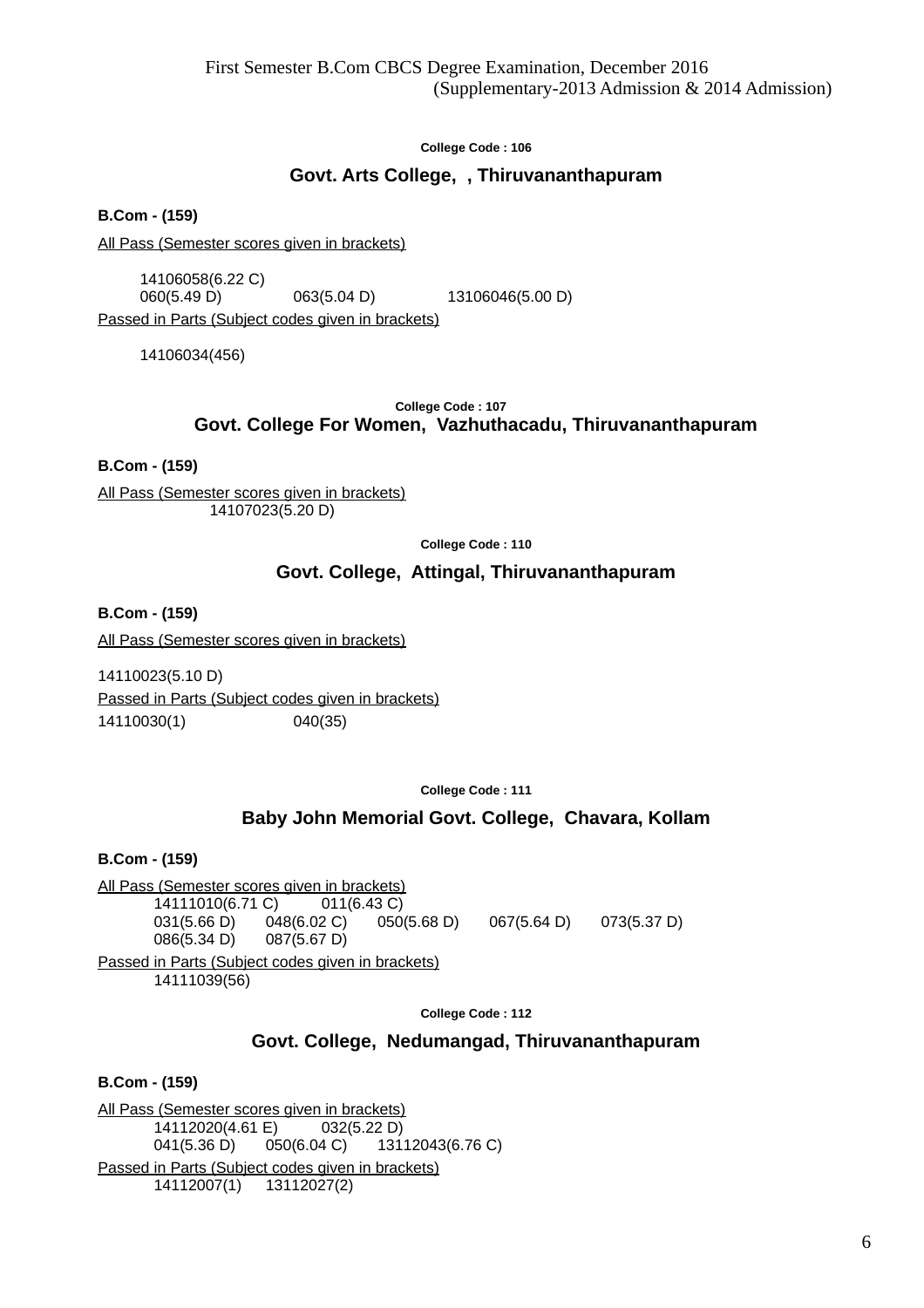# **Govt. Arts College, , Thiruvananthapuram**

**B.Com - (159)**

All Pass (Semester scores given in brackets)

14106058(6.22 C) 060(5.49 D) 063(5.04 D) 13106046(5.00 D)

Passed in Parts (Subject codes given in brackets)

14106034(456)

**College Code : 107**

### **Govt. College For Women, Vazhuthacadu, Thiruvananthapuram**

**B.Com - (159)**

All Pass (Semester scores given in brackets) 14107023(5.20 D)

**College Code : 110**

# **Govt. College, Attingal, Thiruvananthapuram**

**B.Com - (159)**

All Pass (Semester scores given in brackets)

14110023(5.10 D) Passed in Parts (Subject codes given in brackets) 14110030(1) 040(35)

**College Code : 111**

# **Baby John Memorial Govt. College, Chavara, Kollam**

**B.Com - (159)**

All Pass (Semester scores given in brackets) 14111010(6.71 C) 011(6.43 C) 031(5.66 D) 048(6.02 C) 050(5.68 D) 067(5.64 D) 073(5.37 D) 086(5.34 D) 087(5.67 D) Passed in Parts (Subject codes given in brackets) 14111039(56)

**College Code : 112**

# **Govt. College, Nedumangad, Thiruvananthapuram**

**B.Com - (159)**

All Pass (Semester scores given in brackets) 14112020(4.61 E) 032(5.22 D) 041(5.36 D) 050(6.04 C) 13112043(6.76 C) Passed in Parts (Subject codes given in brackets) 14112007(1) 13112027(2)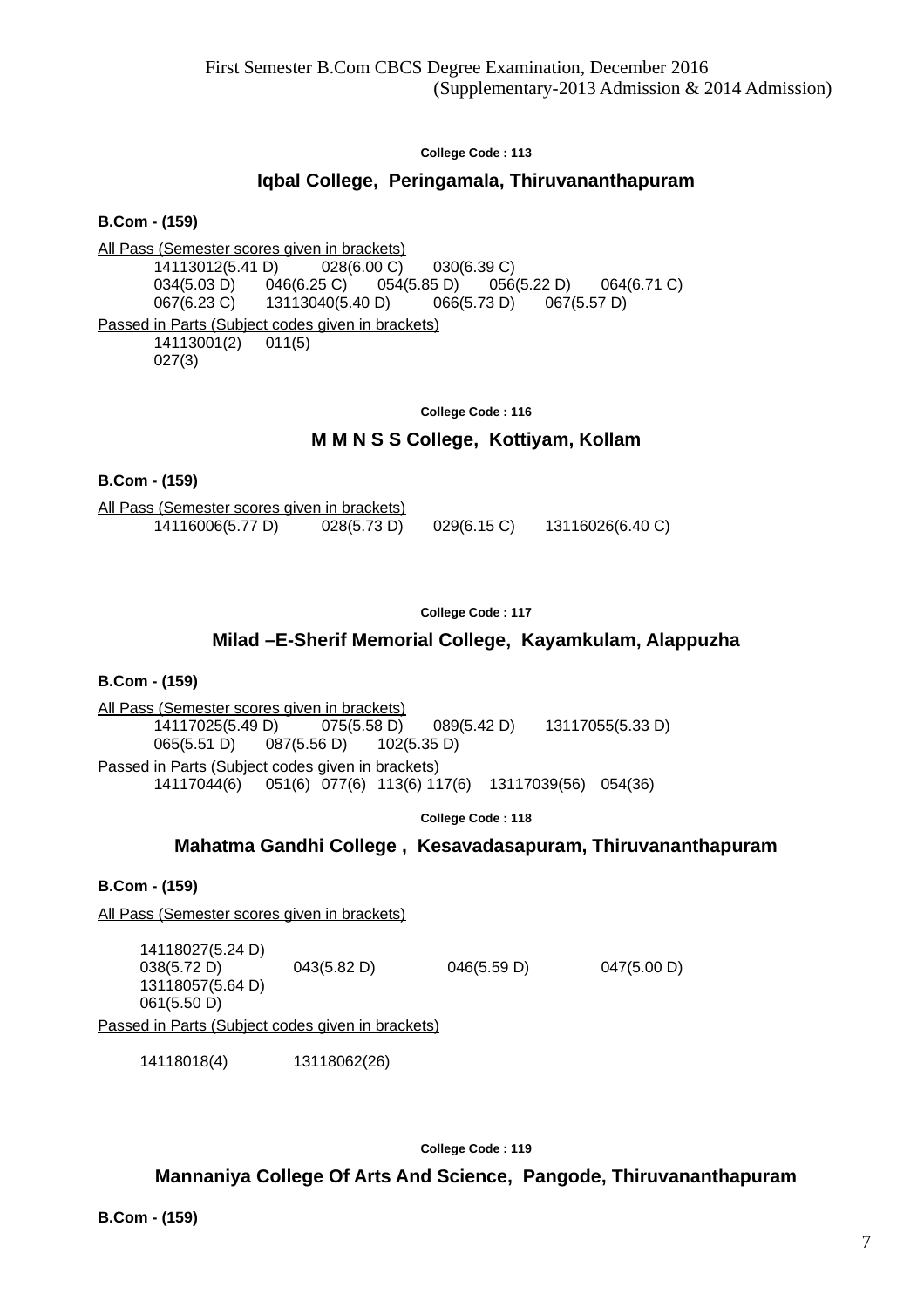# **Iqbal College, Peringamala, Thiruvananthapuram**

**B.Com - (159)**

All Pass (Semester scores given in brackets) 14113012(5.41 D) 028(6.00 C) 030(6.39 C) 034(5.03 D) 046(6.25 C) 054(5.85 D) 056(5.22 D) 064(6.71 C)  $067(6.23 \text{ C})$  13113040(5.40 D) 066(5.73 D) 067(5.57 D) Passed in Parts (Subject codes given in brackets) 14113001(2) 011(5) 027(3)

**College Code : 116**

# **M M N S S College, Kottiyam, Kollam**

### **B.Com - (159)**

All Pass (Semester scores given in brackets)  $14116006(5.77 \text{ D})$  028(5.73 D) 029(6.15 C) 13116026(6.40 C)

#### **College Code : 117**

# **Milad –E-Sherif Memorial College, Kayamkulam, Alappuzha**

**B.Com - (159)**

All Pass (Semester scores given in brackets) 14117025(5.49 D) 075(5.58 D) 089(5.42 D) 13117055(5.33 D) 065(5.51 D) 087(5.56 D) 102(5.35 D) Passed in Parts (Subject codes given in brackets) 14117044(6) 051(6) 077(6) 113(6) 117(6) 13117039(56) 054(36)

**College Code : 118**

# **Mahatma Gandhi College , Kesavadasapuram, Thiruvananthapuram**

### **B.Com - (159)**

All Pass (Semester scores given in brackets)

14118027(5.24 D) 038(5.72 D) 043(5.82 D) 046(5.59 D) 047(5.00 D) 13118057(5.64 D) 061(5.50 D) Passed in Parts (Subject codes given in brackets)

14118018(4) 13118062(26)

**College Code : 119**

**Mannaniya College Of Arts And Science, Pangode, Thiruvananthapuram**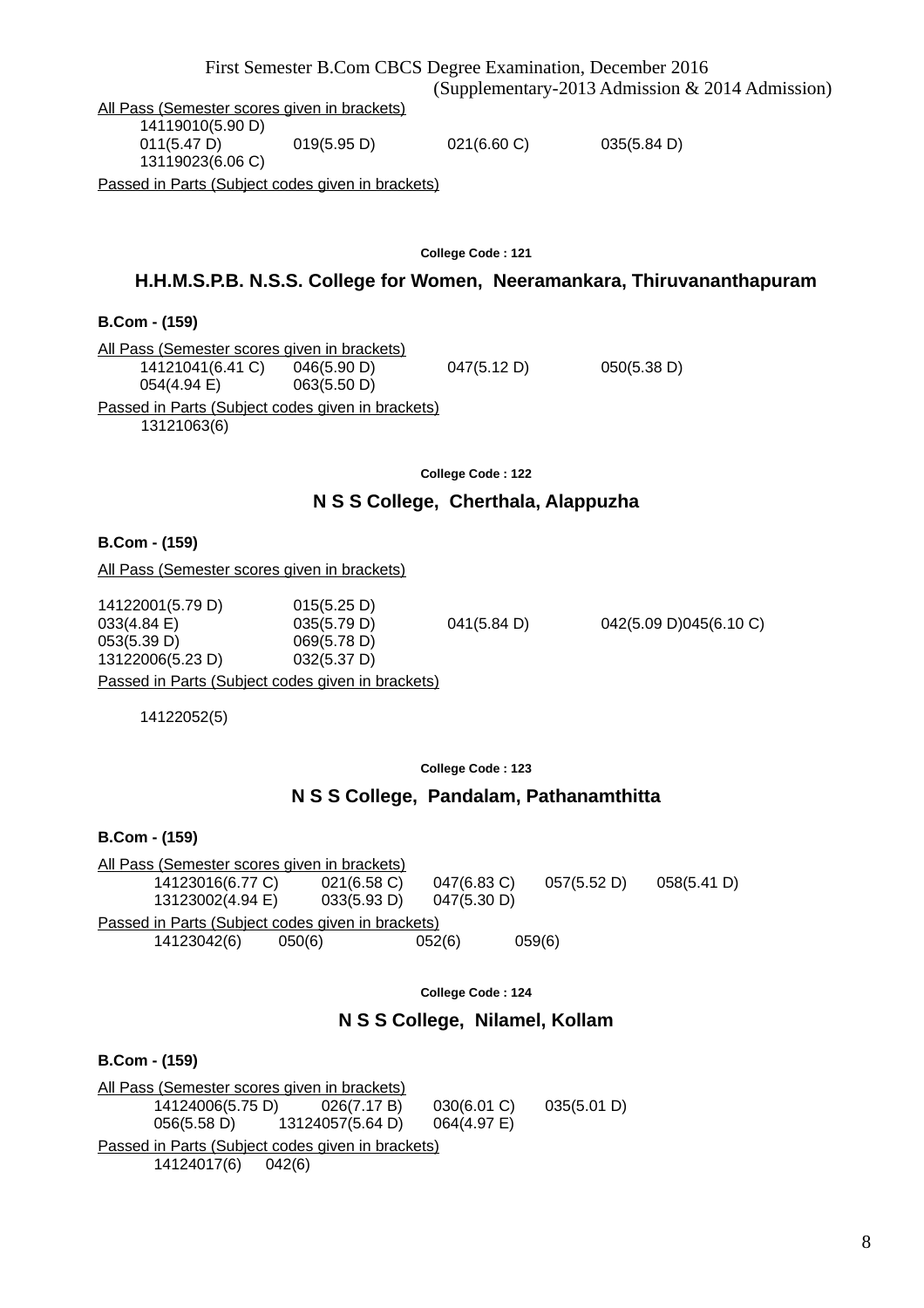8

14119010(5.90 D) 011(5.47 D) 019(5.95 D) 021(6.60 C) 035(5.84 D) 13119023(6.06 C) Passed in Parts (Subject codes given in brackets)

**College Code : 121**

# **H.H.M.S.P.B. N.S.S. College for Women, Neeramankara, Thiruvananthapuram**

# **B.Com - (159)**

All Pass (Semester scores given in brackets) 14121041(6.41 C) 046(5.90 D) 047(5.12 D) 050(5.38 D) 054(4.94 E) 063(5.50 D) Passed in Parts (Subject codes given in brackets) 13121063(6)

**College Code : 122**

# **N S S College, Cherthala, Alappuzha**

### **B.Com - (159)**

All Pass (Semester scores given in brackets)

033(4.84 E) 035(5.79 D) 041(5.84 D) 042(5.09 D)045(6.10 C) Passed in Parts (Subject codes given in brackets)

14122052(5)

### **College Code : 123**

# **N S S College, Pandalam, Pathanamthitta**

**B.Com - (159)**

All Pass (Semester scores given in brackets) 14123016(6.77 C) 021(6.58 C) 047(6.83 C) 057(5.52 D) 058(5.41 D) 13123002(4.94 E) 033(5.93 D) 047(5.30 D) Passed in Parts (Subject codes given in brackets) 14123042(6) 050(6) 052(6) 059(6)

**College Code : 124**

# **N S S College, Nilamel, Kollam**

**B.Com - (159)**

All Pass (Semester scores given in brackets)<br>14124006(5.75 D) 026(7.17 B) 14124006(5.75 D) 026(7.17 B) 030(6.01 C) 035(5.01 D) 056(5.58 D) 13124057(5.64 D) 064(4.97 E) Passed in Parts (Subject codes given in brackets) 14124017(6) 042(6)

14122001(5.79 D) 015(5.25 D) 053(5.39 D) 069(5.78 D) 13122006(5.23 D) 032(5.37 D)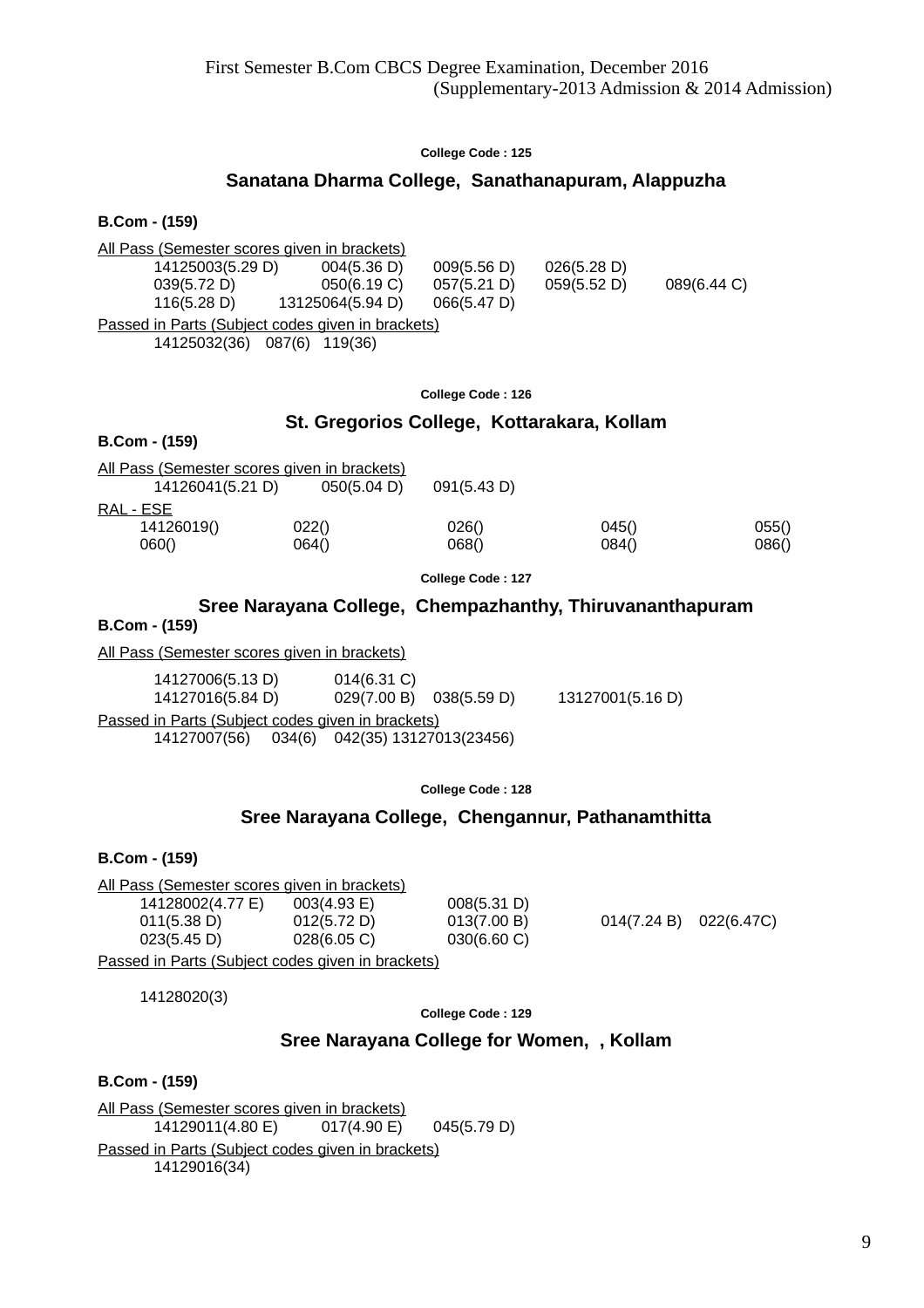# **Sanatana Dharma College, Sanathanapuram, Alappuzha**

#### **B.Com - (159)**

| All Pass (Semester scores given in brackets)      |                  |             |             |             |  |  |  |
|---------------------------------------------------|------------------|-------------|-------------|-------------|--|--|--|
| 14125003(5.29 D)                                  | 004(5.36 D)      | 009(5.56 D) | 026(5.28 D) |             |  |  |  |
| 039(5.72 D)                                       | 050(6.19 C)      | 057(5.21 D) | 059(5.52 D) | 089(6.44 C) |  |  |  |
| 116(5.28 D)                                       | 13125064(5.94 D) | 066(5.47 D) |             |             |  |  |  |
| Passed in Parts (Subject codes given in brackets) |                  |             |             |             |  |  |  |
| 14125032(36) 087(6)                               | 119(36)          |             |             |             |  |  |  |

#### **College Code : 126**

### **St. Gregorios College, Kottarakara, Kollam**

| <u>All Pass (Semester scores given in brackets)</u><br>14126041(5.21 D) | 050(5.04 D)    | 091(5.43 D)    |                |                |
|-------------------------------------------------------------------------|----------------|----------------|----------------|----------------|
| RAL - ESE                                                               |                |                |                |                |
| 14126019()<br>060()                                                     | 022()<br>064() | 026()<br>068() | 045()<br>084() | 055()<br>086() |

**College Code : 127**

# **Sree Narayana College, Chempazhanthy, Thiruvananthapuram**

### **B.Com - (159)**

**B.Com - (159)**

All Pass (Semester scores given in brackets)

14127006(5.13 D) 014(6.31 C) 14127016(5.84 D) 029(7.00 B) 038(5.59 D) 13127001(5.16 D) Passed in Parts (Subject codes given in brackets) 14127007(56) 034(6) 042(35) 13127013(23456)

**College Code : 128**

# **Sree Narayana College, Chengannur, Pathanamthitta**

### **B.Com - (159)**

All Pass (Semester scores given in brackets) 14128002(4.77 E) 003(4.93 E) 008(5.31 D) 011(5.38 D) 012(5.72 D) 013(7.00 B) 014(7.24 B) 022(6.47C) 023(5.45 D) 028(6.05 C) 030(6.60 C)

Passed in Parts (Subject codes given in brackets)

14128020(3)

**College Code : 129**

# **Sree Narayana College for Women, , Kollam**

### **B.Com - (159)**

All Pass (Semester scores given in brackets) 14129011(4.80 E) 017(4.90 E) 045(5.79 D) Passed in Parts (Subject codes given in brackets) 14129016(34)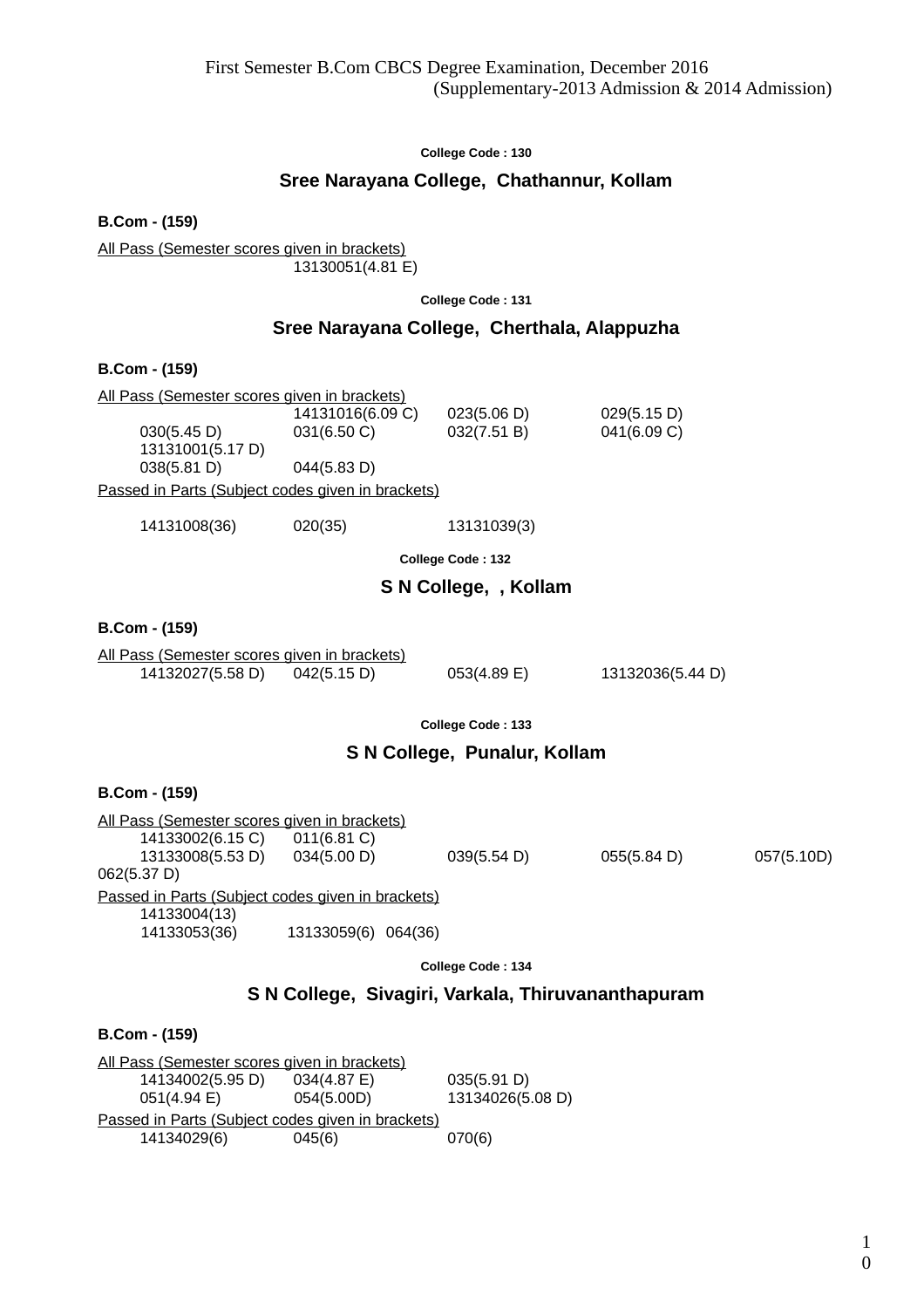# **Sree Narayana College, Chathannur, Kollam**

**B.Com - (159)**

All Pass (Semester scores given in brackets) 13130051(4.81 E)

**College Code : 131**

# **Sree Narayana College, Cherthala, Alappuzha**

### **B.Com - (159)**

| All Pass (Semester scores given in brackets)      |                  |             |             |  |  |
|---------------------------------------------------|------------------|-------------|-------------|--|--|
|                                                   | 14131016(6.09 C) | 023(5.06 D) | 029(5.15 D) |  |  |
| 030(5.45 D)                                       | 031(6.50 C)      | 032(7.51 B) | 041(6.09 C) |  |  |
| 13131001(5.17 D)                                  |                  |             |             |  |  |
| 038(5.81 D)                                       | 044(5.83 D)      |             |             |  |  |
| Passed in Parts (Subject codes given in brackets) |                  |             |             |  |  |

14131008(36) 020(35) 13131039(3)

**College Code : 132**

# **S N College, , Kollam**

#### **B.Com - (159)**

All Pass (Semester scores given in brackets) 14132027(5.58 D) 042(5.15 D) 053(4.89 E) 13132036(5.44 D)

**College Code : 133**

# **S N College, Punalur, Kollam**

**B.Com - (159)** All Pass (Semester scores given in brackets) 14133002(6.15 C) 011(6.81 C)

13133008(5.53 D) 034(5.00 D) 039(5.54 D) 055(5.84 D) 057(5.10D)

Passed in Parts (Subject codes given in brackets) 14133004(13) 14133053(36) 13133059(6) 064(36)

**College Code : 134**

# **S N College, Sivagiri, Varkala, Thiruvananthapuram**

# **B.Com - (159)**

062(5.37 D)

All Pass (Semester scores given in brackets) 14134002(5.95 D) 034(4.87 E) 035(5.91 D) 051(4.94 E) 054(5.00D) 13134026(5.08 D) Passed in Parts (Subject codes given in brackets) 14134029(6) 045(6) 070(6)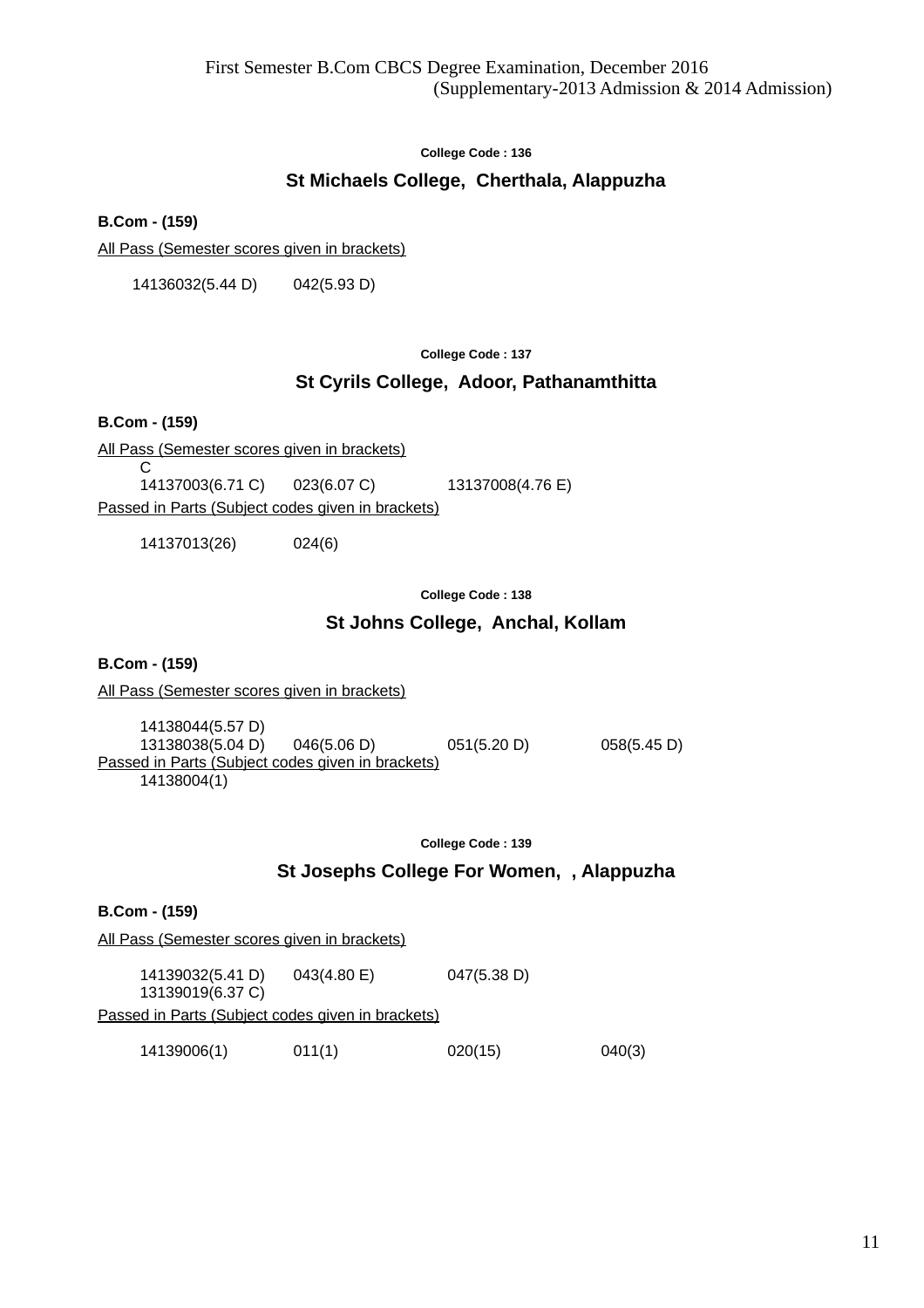# **St Michaels College, Cherthala, Alappuzha**

**B.Com - (159)**

All Pass (Semester scores given in brackets)

14136032(5.44 D) 042(5.93 D)

#### **College Code : 137**

# **St Cyrils College, Adoor, Pathanamthitta**

**B.Com - (159)**

All Pass (Semester scores given in brackets)

C<br>14137003(6.71 C) 023(6.07 C) 13137008(4.76 E) Passed in Parts (Subject codes given in brackets)

14137013(26) 024(6)

**College Code : 138**

### **St Johns College, Anchal, Kollam**

**B.Com - (159)**

All Pass (Semester scores given in brackets)

14138044(5.57 D) 13138038(5.04 D) 046(5.06 D) 051(5.20 D) 058(5.45 D) Passed in Parts (Subject codes given in brackets) 14138004(1)

**College Code : 139**

### **St Josephs College For Women, , Alappuzha**

|                                                   | <b>B.Com - (159)</b>                                |             |             |        |  |
|---------------------------------------------------|-----------------------------------------------------|-------------|-------------|--------|--|
|                                                   | <u>All Pass (Semester scores given in brackets)</u> |             |             |        |  |
|                                                   | 14139032(5.41 D)<br>13139019(6.37 C)                | 043(4.80 E) | 047(5.38 D) |        |  |
| Passed in Parts (Subject codes given in brackets) |                                                     |             |             |        |  |
|                                                   | 14139006(1)                                         | 011(1)      | 020(15)     | 040(3) |  |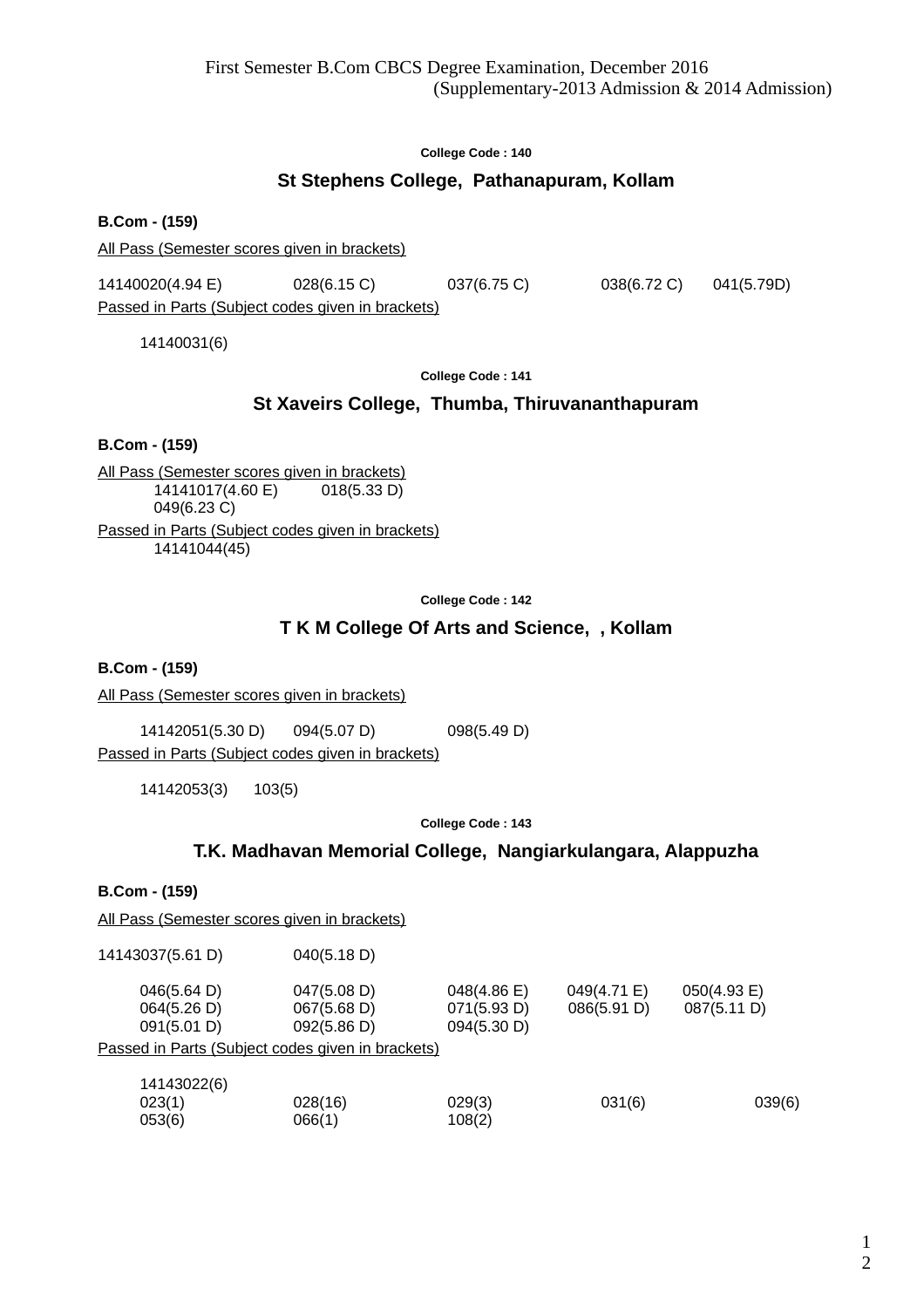# **St Stephens College, Pathanapuram, Kollam**

**B.Com - (159)**

All Pass (Semester scores given in brackets)

14140020(4.94 E) 028(6.15 C) 037(6.75 C) 038(6.72 C) 041(5.79D)

Passed in Parts (Subject codes given in brackets)

14140031(6)

**College Code : 141**

# **St Xaveirs College, Thumba, Thiruvananthapuram**

**B.Com - (159)**

All Pass (Semester scores given in brackets)  $14141017(4.60 \text{ E})$  018(5.33 D) 049(6.23 C) Passed in Parts (Subject codes given in brackets) 14141044(45)

**College Code : 142**

# **T K M College Of Arts and Science, , Kollam**

**B.Com - (159)**

All Pass (Semester scores given in brackets)

14142051(5.30 D) 094(5.07 D) 098(5.49 D) Passed in Parts (Subject codes given in brackets)

14142053(3) 103(5)

**College Code : 143**

# **T.K. Madhavan Memorial College, Nangiarkulangara, Alappuzha**

**B.Com - (159)**

All Pass (Semester scores given in brackets)

| 14143037(5.61 D) | 040(5.18 D) |
|------------------|-------------|
|------------------|-------------|

| 046(5.64 D)<br>064(5.26 D)<br>091(5.01 D)                | 047(5.08 D)<br>067(5.68 D)<br>092(5.86 D) | $048(4.86)$ E)<br>071(5.93 D)<br>094(5.30 D) | 049(4.71 E)<br>086(5.91 D) | $050(4.93)$ E)<br>087(5.11 D) |  |  |  |
|----------------------------------------------------------|-------------------------------------------|----------------------------------------------|----------------------------|-------------------------------|--|--|--|
| <u>Passed in Parts (Subject codes given in brackets)</u> |                                           |                                              |                            |                               |  |  |  |

| 14143022(6) |         |        |        |        |
|-------------|---------|--------|--------|--------|
| 023(1)      | 028(16) | 029(3) | 031(6) | 039(6) |
| 053(6)      | 066(1)  | 108(2) |        |        |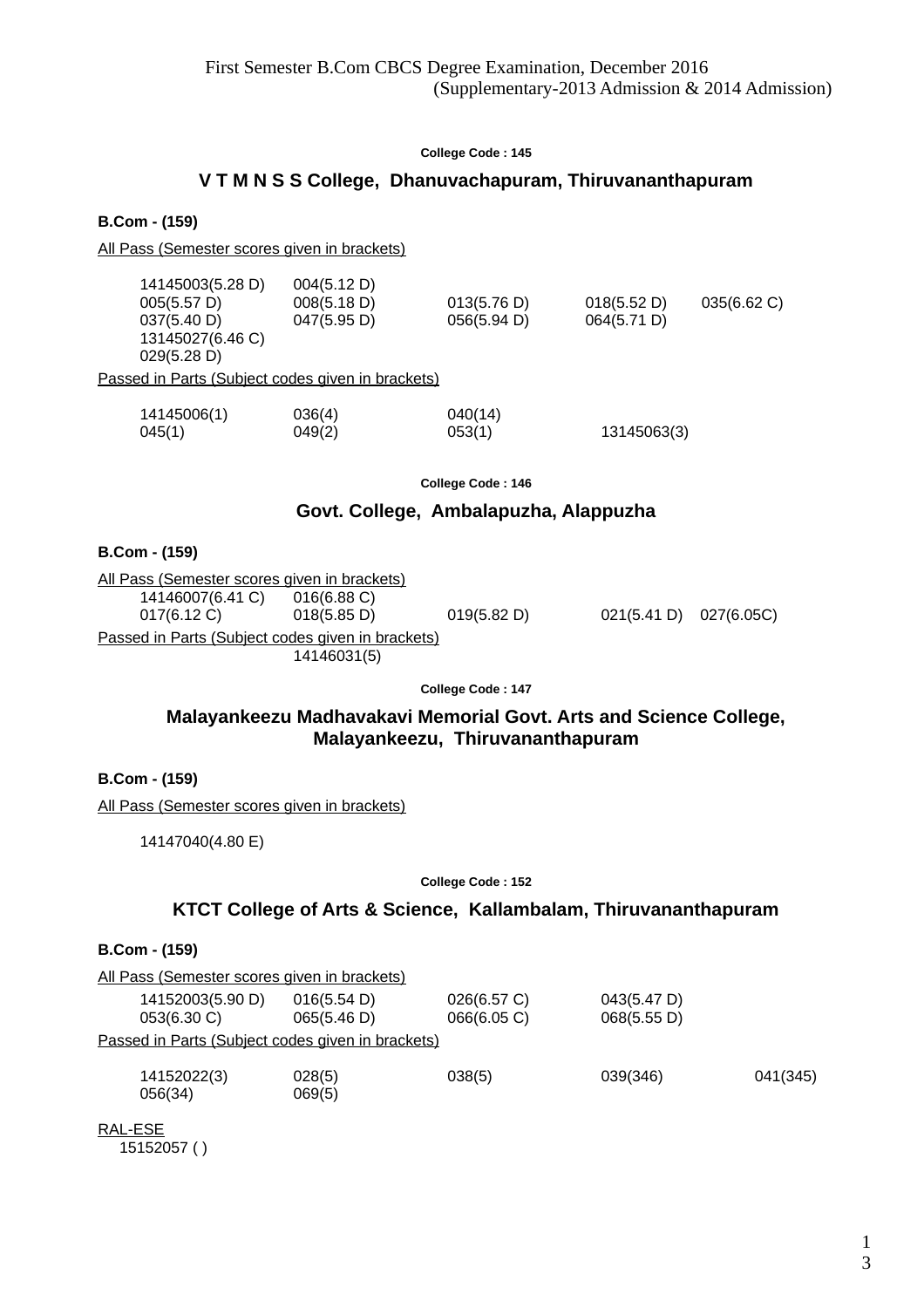# **V T M N S S College, Dhanuvachapuram, Thiruvananthapuram**

**B.Com - (159)**

All Pass (Semester scores given in brackets)

| 14145003(5.28 D) | 004(5.12 D)                                       |             |             |             |
|------------------|---------------------------------------------------|-------------|-------------|-------------|
| 005(5.57 D)      | 008(5.18 D)                                       | 013(5.76 D) | 018(5.52 D) | 035(6.62 C) |
| 037(5.40 D)      | 047(5.95 D)                                       | 056(5.94 D) | 064(5.71 D) |             |
| 13145027(6.46 C) |                                                   |             |             |             |
| 029(5.28 D)      |                                                   |             |             |             |
|                  | Passed in Parts (Subject codes given in brackets) |             |             |             |
| 14145006(1)      | 036(4)                                            | 040(14)     |             |             |

045(1) 049(2) 053(1) 13145063(3)

**College Code : 146**

# **Govt. College, Ambalapuzha, Alappuzha**

### **B.Com - (159)**

All Pass (Semester scores given in brackets) 14146007(6.41 C) 016(6.88 C) 017(6.12 C) 018(5.85 D) 019(5.82 D) 021(5.41 D) 027(6.05C) Passed in Parts (Subject codes given in brackets) 14146031(5)

**College Code : 147**

# **Malayankeezu Madhavakavi Memorial Govt. Arts and Science College, Malayankeezu, Thiruvananthapuram**

### **B.Com - (159)**

All Pass (Semester scores given in brackets)

14147040(4.80 E)

**College Code : 152**

# **KTCT College of Arts & Science, Kallambalam, Thiruvananthapuram**

# **B.Com - (159)**

|                                 | All Pass (Semester scores given in brackets)      |                            |                            |          |
|---------------------------------|---------------------------------------------------|----------------------------|----------------------------|----------|
| 14152003(5.90 D)<br>053(6.30 C) | 016(5.54 D)<br>065(5.46 D)                        | 026(6.57 C)<br>066(6.05 C) | 043(5.47 D)<br>068(5.55 D) |          |
|                                 | Passed in Parts (Subject codes given in brackets) |                            |                            |          |
| 14152022(3)<br>056(34)          | 028(5)<br>069(5)                                  | 038(5)                     | 039(346)                   | 041(345) |

RAL-ESE 15152057 ( )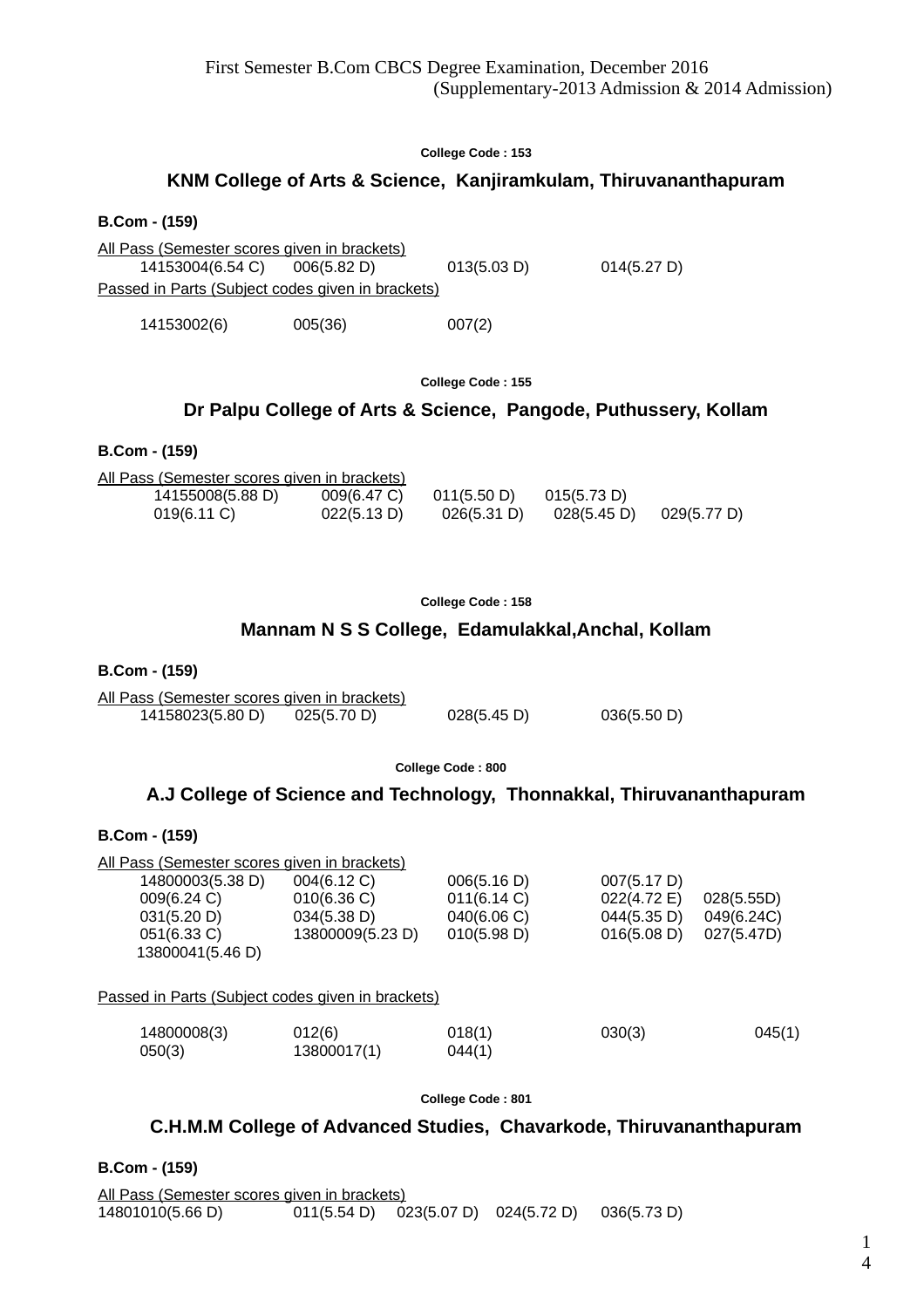# **KNM College of Arts & Science, Kanjiramkulam, Thiruvananthapuram**

**B.Com - (159)**

All Pass (Semester scores given in brackets) 14153004(6.54 C) 006(5.82 D) 013(5.03 D) 014(5.27 D) Passed in Parts (Subject codes given in brackets)

14153002(6) 005(36) 007(2)

**College Code : 155**

# **Dr Palpu College of Arts & Science, Pangode, Puthussery, Kollam**

#### **B.Com - (159)**

| All Pass (Semester scores given in brackets) |                |             |             |             |
|----------------------------------------------|----------------|-------------|-------------|-------------|
| 14155008(5.88 D)                             | $009(6.47)$ C) | 011(5.50 D) | 015(5.73 D) |             |
| $019(6.11)$ C)                               | 022(5.13 D)    | 026(5.31 D) | 028(5.45 D) | 029(5.77 D) |

|  | <b>College Code : 158</b> |  |
|--|---------------------------|--|
|  |                           |  |

### **Mannam N S S College, Edamulakkal,Anchal, Kollam**

### **B.Com - (159)**

All Pass (Semester scores given in brackets) 14158023(5.80 D) 025(5.70 D) 028(5.45 D) 036(5.50 D)

**College Code : 800**

# **A.J College of Science and Technology, Thonnakkal, Thiruvananthapuram**

### **B.Com - (159)**

| <u>All Pass (Semester scores given in brackets)</u> |                       |                  |             |            |
|-----------------------------------------------------|-----------------------|------------------|-------------|------------|
| 14800003(5.38 D)                                    | 004(6.12 C)           | 006(5.16 D)      | 007(5.17 D) |            |
| 009(6.24 C)                                         | 010(6.36)             | 011(6.14 C)      | 022(4.72 E) | 028(5.55D) |
| 031(5.20 D)                                         | 034(5.38 D)           | 040(6.06 C)      | 044(5.35 D) | 049(6.24C) |
| 051(6.33 C)                                         | 13800009(5.23 D)      | 010(5.98 D)      | 016(5.08 D) | 027(5.47D) |
| 13800041(5.46 D)                                    |                       |                  |             |            |
| Passed in Parts (Subject codes given in brackets)   |                       |                  |             |            |
| 14800008(3)<br>050(3)                               | 012(6)<br>13800017(1) | 018(1)<br>044(1) | 030(3)      | 045(1)     |

**College Code : 801**

# **C.H.M.M College of Advanced Studies, Chavarkode, Thiruvananthapuram**

**B.Com - (159)**

All Pass (Semester scores given in brackets) 14801010(5.66 D) 011(5.54 D) 023(5.07 D) 024(5.72 D) 036(5.73 D)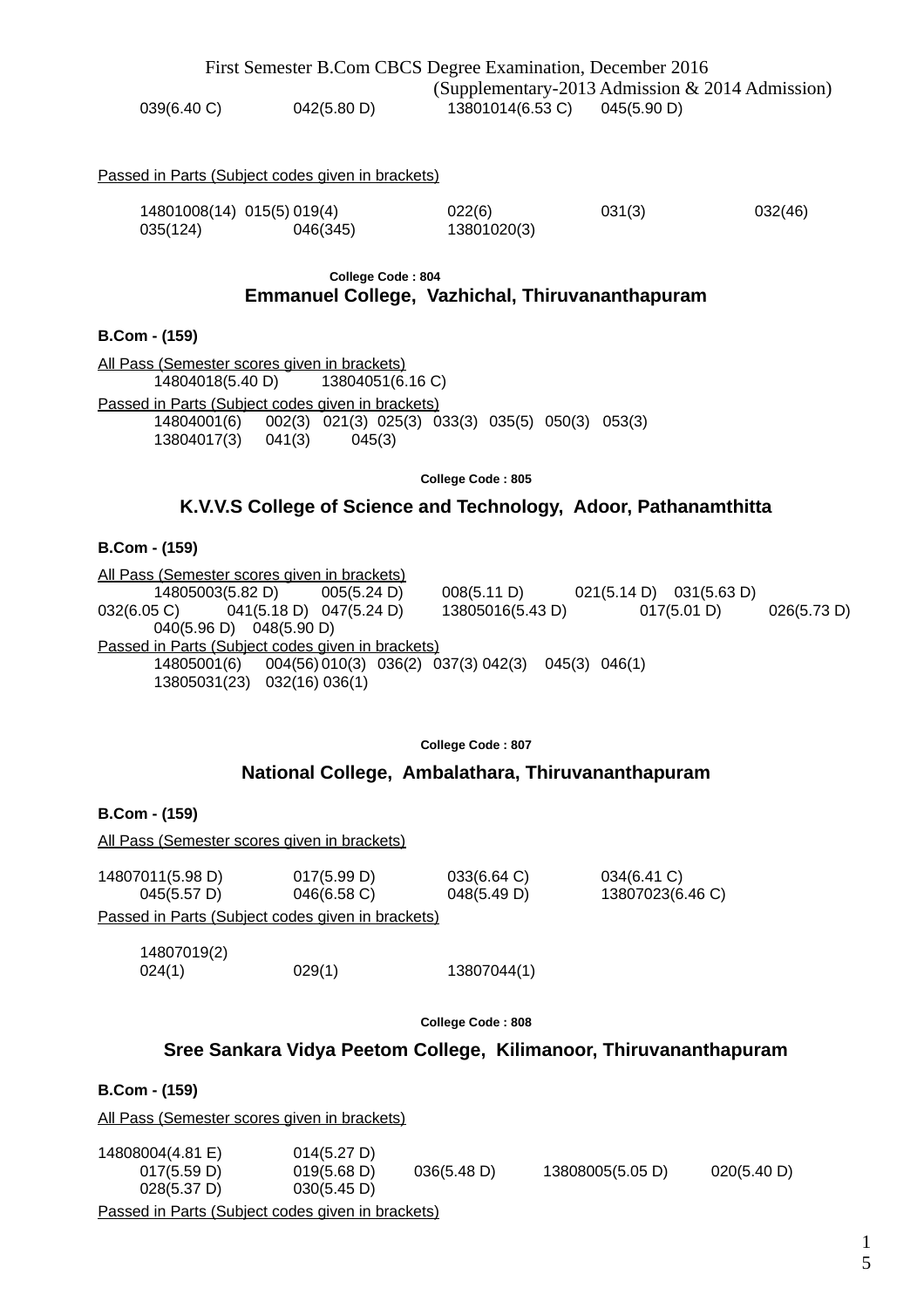|             |             | First Semester B.Com CBCS Degree Examination, December 2016 |                                                 |
|-------------|-------------|-------------------------------------------------------------|-------------------------------------------------|
|             |             |                                                             | (Supplementary-2013 Admission & 2014 Admission) |
| 039(6.40 C) | 042(5.80 D) | 13801014(6.53 C) 045(5.90 D)                                |                                                 |

#### Passed in Parts (Subject codes given in brackets)

|          | 14801008(14) 015(5) 019(4) | 022(6)      | 031(3) | 032(46) |
|----------|----------------------------|-------------|--------|---------|
| 035(124) | 046(345)                   | 13801020(3) |        |         |

#### **College Code : 804 Emmanuel College, Vazhichal, Thiruvananthapuram**

#### **B.Com - (159)**

All Pass (Semester scores given in brackets)<br>14804018(5.40 D) 13804051(6.16 C)  $14804018(5.40 D)$ Passed in Parts (Subject codes given in brackets) 14804001(6) 002(3) 021(3) 025(3) 033(3) 035(5) 050(3) 053(3) 13804017(3) 041(3) 045(3)

**College Code : 805**

# **K.V.V.S College of Science and Technology, Adoor, Pathanamthitta**

#### **B.Com - (159)**

All Pass (Semester scores given in brackets)  $\overline{14805003(5.82 \text{ D})}$   $\overline{005(5.24 \text{ D})}$   $\overline{008(5.11 \text{ D})}$   $\overline{021(5.14 \text{ D})}$   $\overline{032(6.05 \text{ C})}$   $\overline{041(5.18 \text{ D})}$   $\overline{047(5.24 \text{ D})}$   $\overline{13805016(5.43 \text{ D})}$   $\overline{017(5.01 \text{ D})}$  $0.041(5.18 \text{ D})$   $0.47(5.24 \text{ D})$   $13805016(5.43 \text{ D})$   $0.17(5.01 \text{ D})$   $0.26(5.73 \text{ D})$ 040(5.96 D) 048(5.90 D) Passed in Parts (Subject codes given in brackets) 14805001(6) 004(56)010(3) 036(2) 037(3) 042(3) 045(3) 046(1) 13805031(23) 032(16) 036(1)

**College Code : 807**

# **National College, Ambalathara, Thiruvananthapuram**

### **B.Com - (159)**

All Pass (Semester scores given in brackets)

| 14807011(5.98 D)                                         | 017(5.99 D)    | $033(6.64)$ C) | 034(6.41 C)      |
|----------------------------------------------------------|----------------|----------------|------------------|
| $045(5.57 \text{ D})$                                    | $046(6.58)$ C) | 048(5.49 D)    | 13807023(6.46 C) |
| <u>Passed in Parts (Subject codes given in brackets)</u> |                |                |                  |

14807019(2) 024(1) 029(1) 13807044(1)

**College Code : 808**

# **Sree Sankara Vidya Peetom College, Kilimanoor, Thiruvananthapuram**

**B.Com - (159)**

All Pass (Semester scores given in brackets)

| 14808004(4.81 E) | 014(5.27 D)                                       |             |                  |             |
|------------------|---------------------------------------------------|-------------|------------------|-------------|
| 017(5.59 D)      | 019(5.68 D)                                       | 036(5.48 D) | 13808005(5.05 D) | 020(5.40 D) |
| 028(5.37 D)      | 030(5.45 D)                                       |             |                  |             |
|                  | Passed in Parts (Subject codes given in brackets) |             |                  |             |

1 5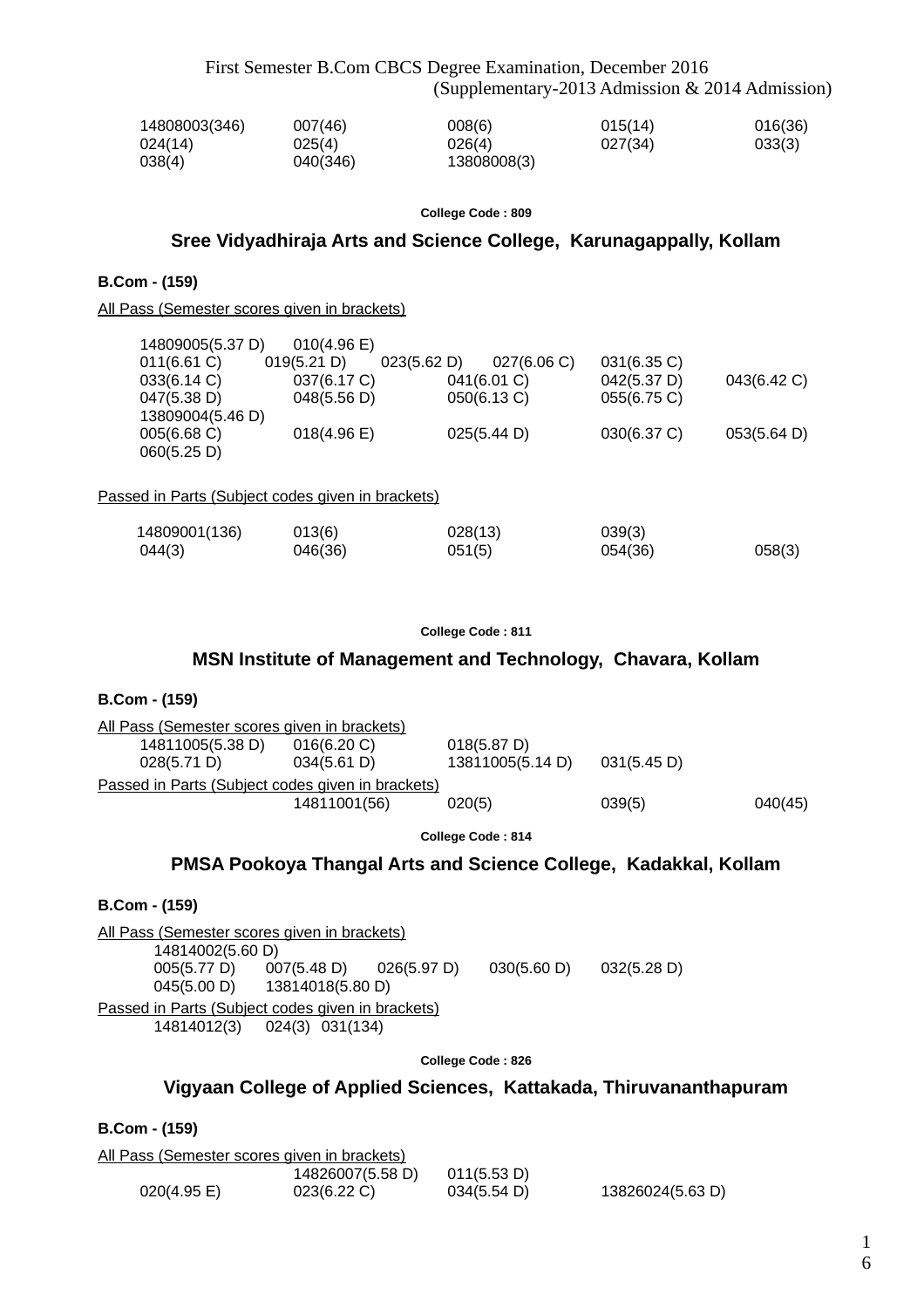First Semester B.Com CBCS Degree Examination, December 2016 (Supplementary-2013 Admission & 2014 Admission)

| 14808003(346) | 007(46)  | 008(6)      | 015(14) | 016(36) |
|---------------|----------|-------------|---------|---------|
| 024(14)       | 025(4)   | 026(4)      | 027(34) | 033(3)  |
| 038(4)        | 040(346) | 13808008(3) |         |         |

#### **College Code : 809**

#### **Sree Vidyadhiraja Arts and Science College, Karunagappally, Kollam**

#### **B.Com - (159)**

All Pass (Semester scores given in brackets)

| 14809005(5.37 D) | 010(4.96)   |             |             |             |             |
|------------------|-------------|-------------|-------------|-------------|-------------|
| $011(6.61)$ C)   | 019(5.21 D) | 023(5.62 D) | 027(6.06 C) | 031(6.35 C) |             |
| 033(6.14 C)      | 037(6.17 C) | 041(6.01 C) |             | 042(5.37 D) | 043(6.42 C) |
| 047(5.38 D)      | 048(5.56 D) | 050(6.13 C) |             | 055(6.75 C) |             |
| 13809004(5.46 D) |             |             |             |             |             |
| 005(6.68 C)      | 018(4.96)   | 025(5.44 D) |             | 030(6.37 C) | 053(5.64 D) |
| 060(5.25 D)      |             |             |             |             |             |
|                  |             |             |             |             |             |

Passed in Parts (Subject codes given in brackets)

| 14809001(136) | 013(6)  | 028(13) | 039(3)  |        |
|---------------|---------|---------|---------|--------|
| 044(3)        | 046(36) | 051(5)  | 054(36) | 058(3) |

#### **College Code : 811**

# **MSN Institute of Management and Technology, Chavara, Kollam**

#### **B.Com - (159)**

| All Pass (Semester scores given in brackets)      |                |                  |             |         |
|---------------------------------------------------|----------------|------------------|-------------|---------|
| 14811005(5.38 D)                                  | $016(6.20)$ C) | 018(5.87 D)      |             |         |
| 028(5.71 D)                                       | 034(5.61 D)    | 13811005(5.14 D) | 031(5.45 D) |         |
| Passed in Parts (Subject codes given in brackets) |                |                  |             |         |
|                                                   | 14811001(56)   | 020(5)           | 039(5)      | 040(45) |
|                                                   |                |                  |             |         |

**College Code : 814**

### **PMSA Pookoya Thangal Arts and Science College, Kadakkal, Kollam**

#### **B.Com - (159)**

All Pass (Semester scores given in brackets) 14814002(5.60 D) 005(5.77 D) 007(5.48 D) 026(5.97 D) 030(5.60 D) 032(5.28 D) 045(5.00 D) 13814018(5.80 D) Passed in Parts (Subject codes given in brackets)

14814012(3) 024(3) 031(134)

**College Code : 826**

# **Vigyaan College of Applied Sciences, Kattakada, Thiruvananthapuram**

**B.Com - (159)**

|             | All Pass (Semester scores given in brackets) |             |                  |
|-------------|----------------------------------------------|-------------|------------------|
|             | 14826007(5.58 D)                             | 011(5.53 D) |                  |
| 020(4.95 E) | $023(6.22)$ C)                               | 034(5.54 D) | 13826024(5.63 D) |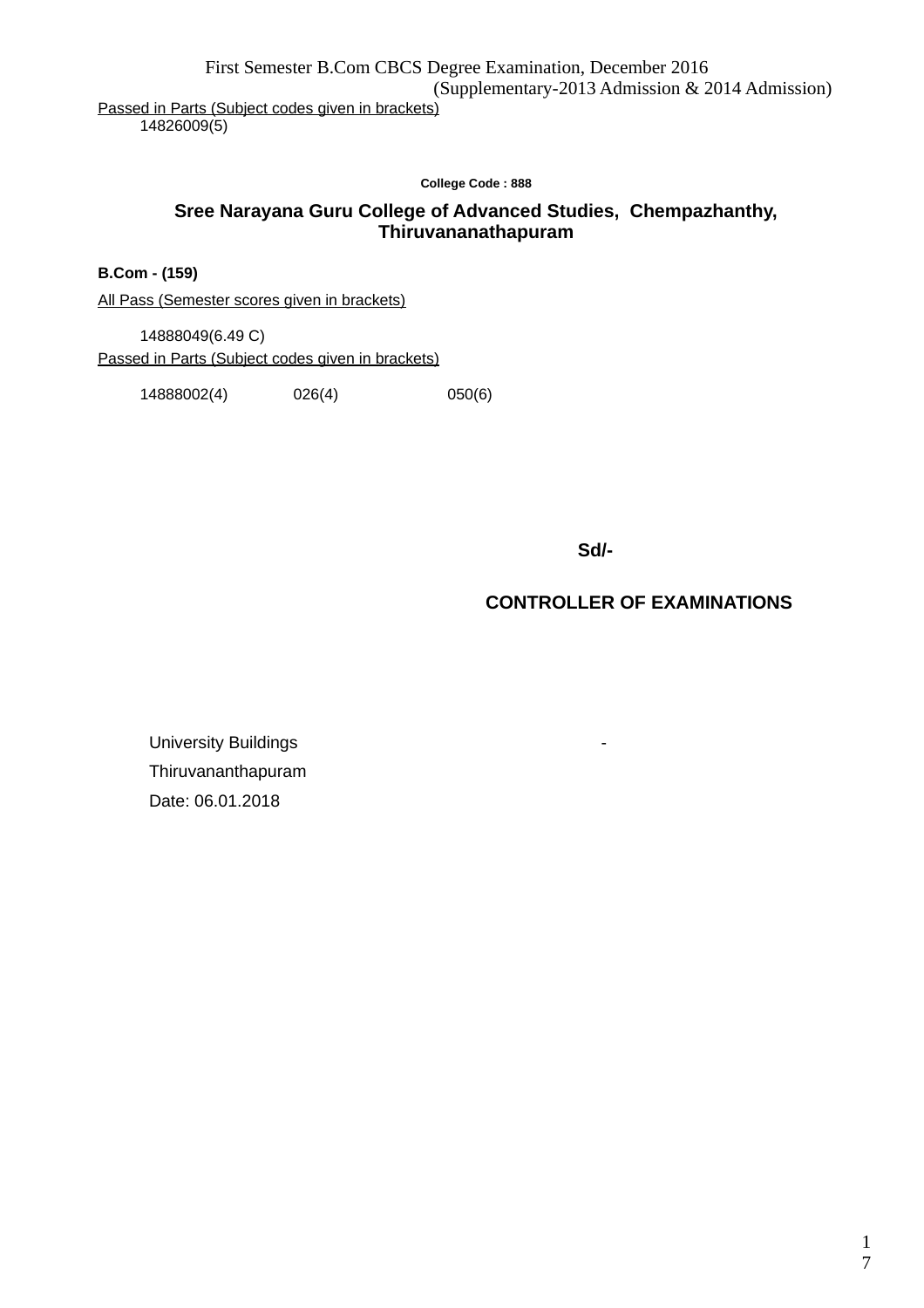First Semester B.Com CBCS Degree Examination, December 2016 (Supplementary-2013 Admission & 2014 Admission)

Passed in Parts (Subject codes given in brackets) 14826009(5)

**College Code : 888**

# **Sree Narayana Guru College of Advanced Studies, Chempazhanthy, Thiruvananathapuram**

**B.Com - (159)**

All Pass (Semester scores given in brackets)

14888049(6.49 C) Passed in Parts (Subject codes given in brackets)

14888002(4) 026(4) 050(6)

 **Sd/-**

# **CONTROLLER OF EXAMINATIONS**

University Buildings **- All and Structure Control** Thiruvananthapuram Date: 06.01.2018